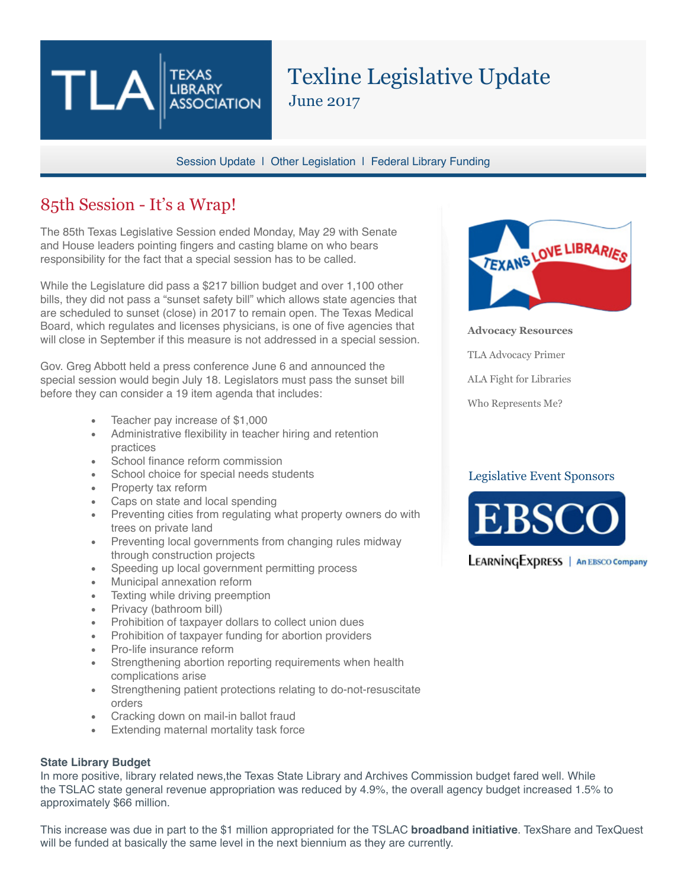# Texline Legislative Update June 2017

Session Update | Other Legislation | Federal Library Funding

### 85th Session - It's a Wrap!

The 85th Texas Legislative Session ended Monday, May 29 with Senate and House leaders pointing fingers and casting blame on who bears responsibility for the fact that a special session has to be called.

**TEXAS LIBRARY** 

**ASSOCIATION** 

While the Legislature did pass a \$217 billion budget and over 1,100 other bills, they did not pass a "sunset safety bill" which allows state agencies that are scheduled to sunset (close) in 2017 to remain open. The Texas Medical Board, which regulates and licenses physicians, is one of five agencies that will close in September if this measure is not addressed in a special session.

Gov. Greg Abbott held a press conference June 6 and announced the special session would begin July 18. Legislators must pass the sunset bill before they can consider a 19 item agenda that includes:

- Teacher pay increase of \$1,000
- Administrative flexibility in teacher hiring and retention practices
- School finance reform commission
- School choice for special needs students
- Property tax reform
- Caps on state and local spending
- Preventing cities from regulating what property owners do with trees on private land
- Preventing local governments from changing rules midway through construction projects
- Speeding up local government permitting process
- Municipal annexation reform
- Texting while driving preemption
- Privacy (bathroom bill)
- Prohibition of taxpayer dollars to collect union dues
- Prohibition of taxpayer funding for abortion providers
- Pro-life insurance reform
- Strengthening abortion reporting requirements when health complications arise
- Strengthening patient protections relating to do-not-resuscitate orders
- Cracking down on mail-in ballot fraud
- Extending maternal mortality task force

### **State Library Budget**

In more positive, library related news,the Texas State Library and Archives Commission budget fared well. While the TSLAC state general revenue appropriation was reduced by 4.9%, the overall agency budget increased 1.5% to approximately \$66 million.

This increase was due in part to the \$1 million appropriated for the TSLAC **broadband initiative**. TexShare and TexQuest will be funded at basically the same level in the next biennium as they are currently.



**Advocacy Resources**

TLA Advocacy Primer

ALA Fight for Libraries

Who Represents Me?

### Legislative Event Sponsors

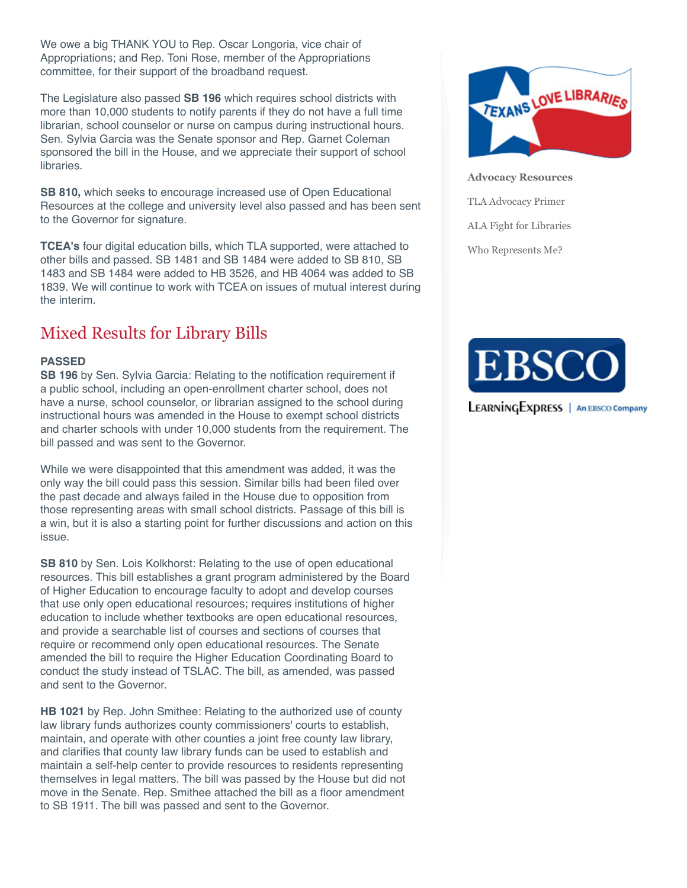We owe a big THANK YOU to Rep. Oscar Longoria, vice chair of Appropriations; and Rep. Toni Rose, member of the Appropriations committee, for their support of the broadband request.

The Legislature also passed **SB 196** which requires school districts with more than 10,000 students to notify parents if they do not have a full time librarian, school counselor or nurse on campus during instructional hours. Sen. Sylvia Garcia was the Senate sponsor and Rep. Garnet Coleman sponsored the bill in the House, and we appreciate their support of school libraries.

**SB 810,** which seeks to encourage increased use of Open Educational Resources at the college and university level also passed and has been sent to the Governor for signature.

**TCEA's** four digital education bills, which TLA supported, were attached to other bills and passed. SB 1481 and SB 1484 were added to SB 810, SB 1483 and SB 1484 were added to HB 3526, and HB 4064 was added to SB 1839. We will continue to work with TCEA on issues of mutual interest during the interim.

## Mixed Results for Library Bills

### **PASSED**

**SB 196** by Sen. Sylvia Garcia: Relating to the notification requirement if a public school, including an open-enrollment charter school, does not have a nurse, school counselor, or librarian assigned to the school during instructional hours was amended in the House to exempt school districts and charter schools with under 10,000 students from the requirement. The bill passed and was sent to the Governor.

While we were disappointed that this amendment was added, it was the only way the bill could pass this session. Similar bills had been filed over the past decade and always failed in the House due to opposition from those representing areas with small school districts. Passage of this bill is a win, but it is also a starting point for further discussions and action on this issue.

**SB 810** by Sen. Lois Kolkhorst: Relating to the use of open educational resources. This bill establishes a grant program administered by the Board of Higher Education to encourage faculty to adopt and develop courses that use only open educational resources; requires institutions of higher education to include whether textbooks are open educational resources, and provide a searchable list of courses and sections of courses that require or recommend only open educational resources. The Senate amended the bill to require the Higher Education Coordinating Board to conduct the study instead of TSLAC. The bill, as amended, was passed and sent to the Governor.

**HB 1021** by Rep. John Smithee: Relating to the authorized use of county law library funds authorizes county commissioners' courts to establish, maintain, and operate with other counties a joint free county law library, and clarifies that county law library funds can be used to establish and maintain a self-help center to provide resources to residents representing themselves in legal matters. The bill was passed by the House but did not move in the Senate. Rep. Smithee attached the bill as a floor amendment to SB 1911. The bill was passed and sent to the Governor.



**Advocacy Resources**

TLA Advocacy Primer

ALA Fight for Libraries

Who Represents Me?

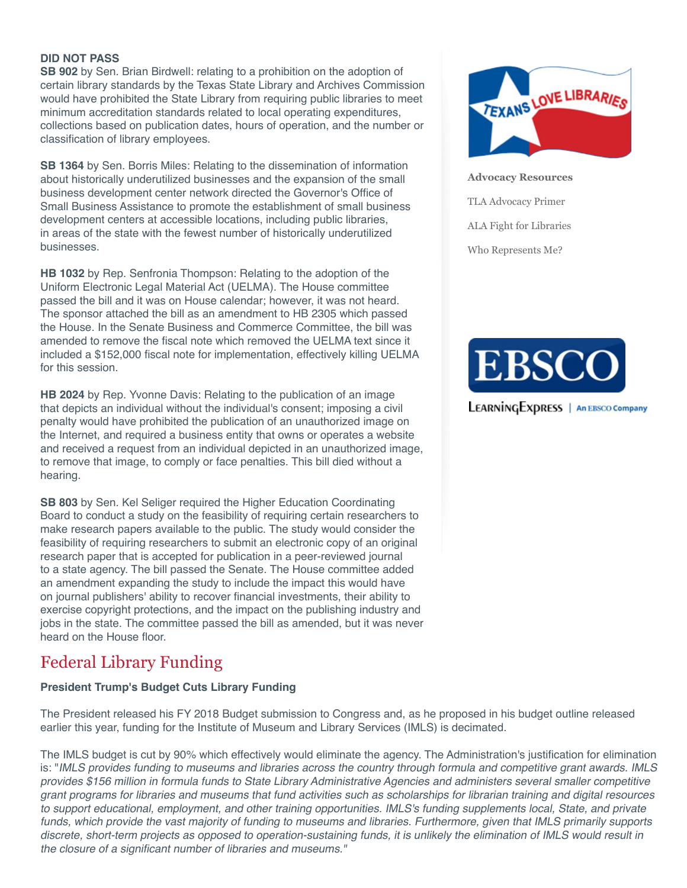### **DID NOT PASS**

**SB 902** by Sen. Brian Birdwell: relating to a prohibition on the adoption of certain library standards by the Texas State Library and Archives Commission would have prohibited the State Library from requiring public libraries to meet minimum accreditation standards related to local operating expenditures, collections based on publication dates, hours of operation, and the number or classification of library employees.

**SB 1364** by Sen. Borris Miles: Relating to the dissemination of information about historically underutilized businesses and the expansion of the small business development center network directed the Governor's Office of Small Business Assistance to promote the establishment of small business development centers at accessible locations, including public libraries, in areas of the state with the fewest number of historically underutilized businesses.

**HB 1032** by Rep. Senfronia Thompson: Relating to the adoption of the Uniform Electronic Legal Material Act (UELMA). The House committee passed the bill and it was on House calendar; however, it was not heard. The sponsor attached the bill as an amendment to HB 2305 which passed the House. In the Senate Business and Commerce Committee, the bill was amended to remove the fiscal note which removed the UELMA text since it included a \$152,000 fiscal note for implementation, effectively killing UELMA for this session.

**HB 2024** by Rep. Yvonne Davis: Relating to the publication of an image that depicts an individual without the individual's consent; imposing a civil penalty would have prohibited the publication of an unauthorized image on the Internet, and required a business entity that owns or operates a website and received a request from an individual depicted in an unauthorized image, to remove that image, to comply or face penalties. This bill died without a hearing.

**SB 803** by Sen. Kel Seliger required the Higher Education Coordinating Board to conduct a study on the feasibility of requiring certain researchers to make research papers available to the public. The study would consider the feasibility of requiring researchers to submit an electronic copy of an original research paper that is accepted for publication in a peer-reviewed journal to a state agency. The bill passed the Senate. The House committee added an amendment expanding the study to include the impact this would have on journal publishers' ability to recover financial investments, their ability to exercise copyright protections, and the impact on the publishing industry and jobs in the state. The committee passed the bill as amended, but it was never heard on the House floor.

### Federal Library Funding

### **President Trump's Budget Cuts Library Funding**

The President released his FY 2018 Budget submission to Congress and, as he proposed in his budget outline released earlier this year, funding for the Institute of Museum and Library Services (IMLS) is decimated.

The IMLS budget is cut by 90% which effectively would eliminate the agency. The Administration's justification for elimination is: "IMLS provides funding to museums and libraries across the country through formula and competitive grant awards. IMLS provides \$156 million in formula funds to State Library Administrative Agencies and administers several smaller competitive grant programs for libraries and museums that fund activities such as scholarships for librarian training and digital resources to support educational, employment, and other training opportunities. IMLS's funding supplements local, State, and private funds, which provide the vast majority of funding to museums and libraries. Furthermore, given that IMLS primarily supports discrete, short-term projects as opposed to operation-sustaining funds, it is unlikely the elimination of IMLS would result in the closure of a significant number of libraries and museums."



**Advocacy Resources** TLA Advocacy Primer ALA Fight for Libraries

Who Represents Me?